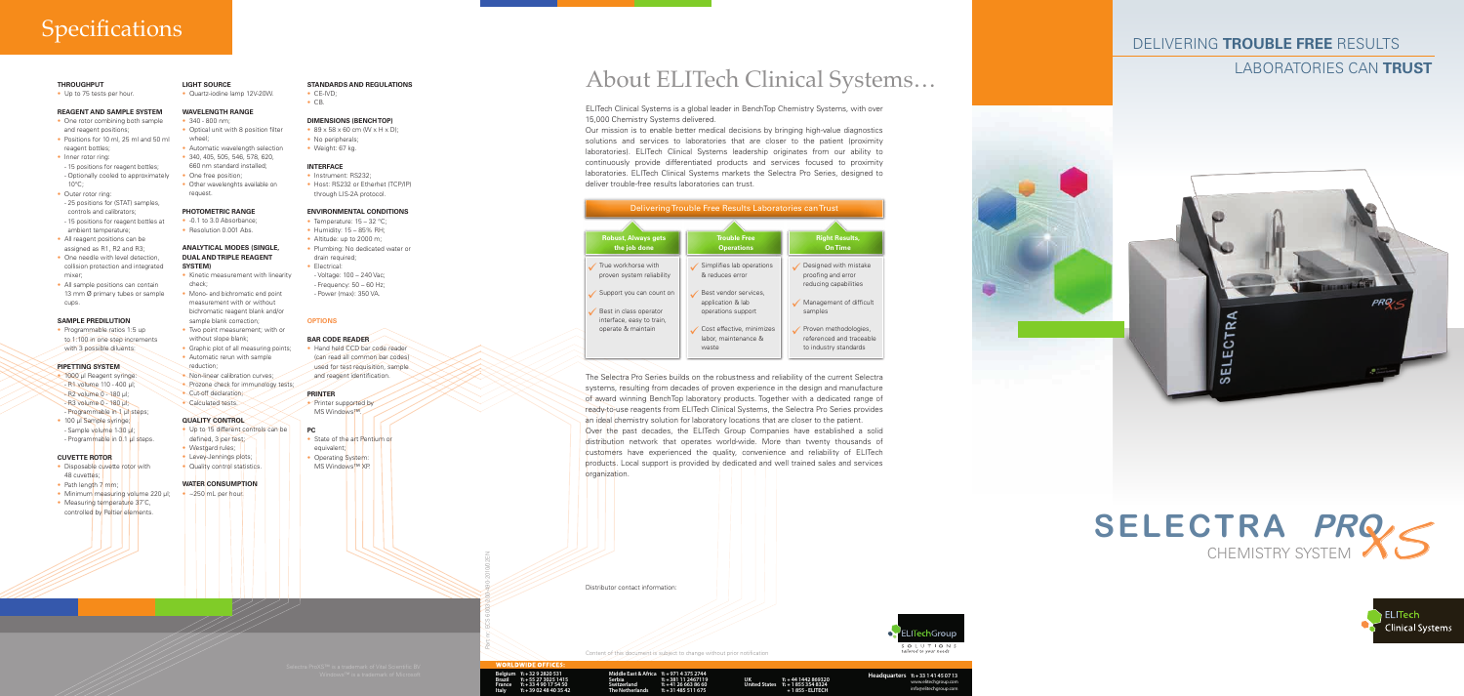## Delivering **trouble free** results

## laboratories can **trust**

Part nr: ECS 6003-200-490-2010/02EN

Distributor contact information:

**Middle East & Africa** T: + **971 4 375 2744 Headquarters** T: <sup>+</sup> **32 9 2820 531 Serbia Switzerland The Netherlands** T: + **381 11 2467119** T: + **41 26 663 86 60** T: + **31 485 511 675**

T: + **44 1442 869320** T: + **1 855 354 8324 UK United States** + **1 855 - ELITECH** T: + **33 1 41 45 07 13**

www.elitechgroup.com info@elitechgroup.com

T: + **55 27 3025 1415** T: + **33 4 90 17 54 50** T: + **39 02 48 40 35 42 Belgium Brazil France Italy**

Content of this document is subject to change without prior notification

- One rotor combining both sample
- and reagent positions; • Positions for 10 ml, 25 ml and 50 ml reagent bottles; wheel;
	-
- Inner rotor ring:
- 15 positions for reagent bottles; - Optionally cooled to approximately
- 10°C; • Outer rotor ring:
- 25 positions for (STAT) samples, controls and calibrators;
- 15 positions for reagent bottles at ambient temperature;
- All reagent positions can be assigned as R1, R2 and R3;
- One needle with level detection, collision protection and integrated mixer;
- All sample positions can contain 13 mm Ø primary tubes or sample cups.

# **Specifications**

## **THROUGHPUT**

• Up to 75 tests per hour.

• Programmable ratios 1:5 up to 1:100 in one step increments with 3 possible diluents:

- 1000 μl Reagent syringe:
- R1 volume 110 400 μl;
- R2 volume 0 180 μl; - R3 volume 0 - 180 μl;
- Programmable in 1 μl steps;
- 100 μl Sample syringe; - Sample volume 1-30 μl; - Programmable in 0.1 μl steps.
- 

## **REAGENT AND SAMPLE SYSTEM**

- Disposable cuvette rotor with 48 cuvettes;
- Path length  $7 \text{ mm}$ :
- Minimum measuring volume 220 μl;
- Measuring temperature 37°C, controlled by Peltier elements.
- **WAVELENGTH RANGE**
	- $340 800$  nm;

- Optical unit with 8 position filter
- Automatic wavelength selection
- 340, 405, 505, 546, 578, 620,
- 660 nm standard installed;
- One free position; • Other wavelenghts available on request

- Kinetic measurement with linearity check;
- Mono- and bichromatic end point measurement with or without bichromatic reagent blank and/or sample blank correction;
- Two point measurement; with or without slope blank;
- Graphic plot of all measuring points; • Automatic rerun with sample
- reduction;
- Non-linear calibration curves;
- Prozone check for immunology tests;
- Cut-off declaration; • Calculated tests.

- Up to 15 different controls can be
- defined, 3 per test;
- Westgard rules:
- Levey-Jennings plots;

• Quality control statistics.

### **SAMPLE PREDILUTION**

## **DIMENSIONS (BENCH TOP)**  $\cdot$  89 x 58 x 60 cm (W x H x D);

• No peripherals;

## **Pipetting system**

• Instrument: RS232; • Host: RS232 or Etherhet (TCP/IP) through LIS-2A protocol.

- Temperature: 15 32 °C;
- Humidity: 15 85% RH;
- Altitude: up to 2000 m;
- Plumbing: No dedicated water or drain required;
- Electrical:
- Voltage: 100 240 Vac;
- Frequency: 50 60 Hz;
- Power (max): 350 VA.

## **CUVETTE ROTOR**

• Printer supported by MS Windows™.

- State of the art Pentium or equivalent;
- **Operating System:** MS Windows<sup>™</sup> XP.

# **SELECTRA PRO CHEMISTRY SYSTEM XS**





**LIGHT SOURCE**

## • Quartz-iodine lamp 12V-20W.

### **PHOTOMETRIC RANGE**

- -0.1 to 3.0 Absorbance;
- Resolution 0.001 Abs.

The Selectra Pro Series builds on the robustness and reliability of the current Selectra systems, resulting from decades of proven experience in the design and manufacture of award winning BenchTop laboratory products. Together with a dedicated range of ready-to-use reagents from ELITech Clinical Systems, the Selectra Pro Series provides an ideal chemistry solution for laboratory locations that are closer to the patient. Over the past decades, the ELITech Group Companies have established a solid distribution network that operates world-wide. More than twenty thousands of customers have experienced the quality, convenience and reliability of ELITech products. Local support is provided by dedicated and well trained sales and services organization.

## **ANALYTICAL MODES (SINGLE, DUAL AND TRIPLE REAGENT SYSTEM)**

## **QUALITY CONTROL**

## **Water Consumption**

 $\sim$   $250$  mL per hour.

**STANDARDS and regulations**

• CE-IVD; • CB.

- Weight: 67 kg.
- 

## **Interface**

## **ENVIRONMENTAL CONDITIONS**

## **OPTIONS**

## **BAR CODE READER**

• Hand held CCD bar code reader (can read all common bar codes) used for test requisition, sample and reagent identification.

## **PRINTER**

# **PC**







ELITech Clinical Systems is a global leader in BenchTop Chemistry Systems, with over 15,000 Chemistry Systems delivered.

Our mission is to enable better medical decisions by bringing high-value diagnostics solutions and services to laboratories that are closer to the patient (proximity laboratories). ELITech Clinical Systems leadership originates from our ability to continuously provide differentiated products and services focused to proximity laboratories. ELITech Clinical Systems markets the Selectra Pro Series, designed to deliver trouble-free results laboratories can trust.